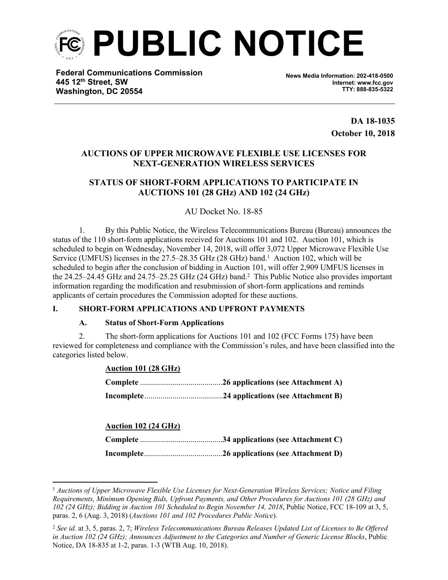

**Federal Communications Commission 445 12th Street, SW Washington, DC 20554**

**News Media Information: 202-418-0500 Internet: www.fcc.gov TTY: 888-835-5322**

> **DA 18-1035 October 10, 2018**

# **AUCTIONS OF UPPER MICROWAVE FLEXIBLE USE LICENSES FOR NEXT-GENERATION WIRELESS SERVICES**

# **STATUS OF SHORT-FORM APPLICATIONS TO PARTICIPATE IN AUCTIONS 101 (28 GHz) AND 102 (24 GHz)**

AU Docket No. 18-85

1. By this Public Notice, the Wireless Telecommunications Bureau (Bureau) announces the status of the 110 short-form applications received for Auctions 101 and 102. Auction 101, which is scheduled to begin on Wednesday, November 14, 2018, will offer 3,072 Upper Microwave Flexible Use Service (UMFUS) licenses in the 27.5–28.35 GHz (28 GHz) band.<sup>1</sup> Auction 102, which will be scheduled to begin after the conclusion of bidding in Auction 101, will offer 2,909 UMFUS licenses in the 24.25–24.45 GHz and 24.75–25.25 GHz (24 GHz) band.<sup>2</sup> This Public Notice also provides important information regarding the modification and resubmission of short-form applications and reminds applicants of certain procedures the Commission adopted for these auctions.

# **I. SHORT-FORM APPLICATIONS AND UPFRONT PAYMENTS**

## **A. Status of Short-Form Applications**

2. The short-form applications for Auctions 101 and 102 (FCC Forms 175) have been reviewed for completeness and compliance with the Commission's rules, and have been classified into the categories listed below.

# **Auction 101 (28 GHz)**

# **Auction 102 (24 GHz) Complete** .........................................**34 applications (see Attachment C) Incomplete**.......................................**26 applications (see Attachment D)**

<sup>1</sup> *Auctions of Upper Microwave Flexible Use Licenses for Next-Generation Wireless Services; Notice and Filing Requirements, Minimum Opening Bids, Upfront Payments, and Other Procedures for Auctions 101 (28 GHz) and 102 (24 GHz); Bidding in Auction 101 Scheduled to Begin November 14, 2018*, Public Notice, FCC 18-109 at 3, 5, paras. 2, 6 (Aug. 3, 2018) (*Auctions 101 and 102 Procedures Public Notice*).

<sup>2</sup> *See id.* at 3, 5, paras. 2, 7; *Wireless Telecommunications Bureau Releases Updated List of Licenses to Be Offered in Auction 102 (24 GHz); Announces Adjustment to the Categories and Number of Generic License Blocks*, Public Notice, DA 18-835 at 1-2, paras. 1-3 (WTB Aug. 10, 2018).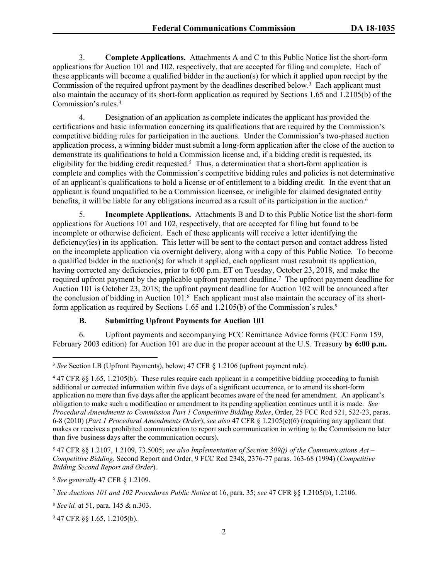3. **Complete Applications.** Attachments A and C to this Public Notice list the short-form applications for Auction 101 and 102, respectively, that are accepted for filing and complete. Each of these applicants will become a qualified bidder in the auction(s) for which it applied upon receipt by the Commission of the required upfront payment by the deadlines described below.<sup>3</sup> Each applicant must also maintain the accuracy of its short-form application as required by Sections 1.65 and 1.2105(b) of the Commission's rules.<sup>4</sup>

4. Designation of an application as complete indicates the applicant has provided the certifications and basic information concerning its qualifications that are required by the Commission's competitive bidding rules for participation in the auctions. Under the Commission's two-phased auction application process, a winning bidder must submit a long-form application after the close of the auction to demonstrate its qualifications to hold a Commission license and, if a bidding credit is requested, its eligibility for the bidding credit requested.<sup>5</sup> Thus, a determination that a short-form application is complete and complies with the Commission's competitive bidding rules and policies is not determinative of an applicant's qualifications to hold a license or of entitlement to a bidding credit. In the event that an applicant is found unqualified to be a Commission licensee, or ineligible for claimed designated entity benefits, it will be liable for any obligations incurred as a result of its participation in the auction.<sup>6</sup>

5. **Incomplete Applications.** Attachments B and D to this Public Notice list the short-form applications for Auctions 101 and 102, respectively, that are accepted for filing but found to be incomplete or otherwise deficient. Each of these applicants will receive a letter identifying the deficiency(ies) in its application. This letter will be sent to the contact person and contact address listed on the incomplete application via overnight delivery, along with a copy of this Public Notice. To become a qualified bidder in the auction(s) for which it applied, each applicant must resubmit its application, having corrected any deficiencies, prior to 6:00 p.m. ET on Tuesday, October 23, 2018, and make the required upfront payment by the applicable upfront payment deadline.<sup>7</sup> The upfront payment deadline for Auction 101 is October 23, 2018; the upfront payment deadline for Auction 102 will be announced after the conclusion of bidding in Auction 101.<sup>8</sup> Each applicant must also maintain the accuracy of its shortform application as required by Sections 1.65 and 1.2105(b) of the Commission's rules.<sup>9</sup>

# **B. Submitting Upfront Payments for Auction 101**

6. Upfront payments and accompanying FCC Remittance Advice forms (FCC Form 159, February 2003 edition) for Auction 101 are due in the proper account at the U.S. Treasury **by 6:00 p.m.**

<sup>5</sup> 47 CFR §§ 1.2107, 1.2109, 73.5005; *see also Implementation of Section 309(j) of the Communications Act – Competitive Bidding*, Second Report and Order, 9 FCC Rcd 2348, 2376-77 paras. 163-68 (1994) (*Competitive Bidding Second Report and Order*).

<sup>3</sup> *See* Section I.B (Upfront Payments), below; 47 CFR § 1.2106 (upfront payment rule).

<sup>4</sup> 47 CFR §§ 1.65, 1.2105(b). These rules require each applicant in a competitive bidding proceeding to furnish additional or corrected information within five days of a significant occurrence, or to amend its short-form application no more than five days after the applicant becomes aware of the need for amendment. An applicant's obligation to make such a modification or amendment to its pending application continues until it is made. *See Procedural Amendments to Commission Part 1 Competitive Bidding Rules*, Order, 25 FCC Rcd 521, 522-23, paras. 6-8 (2010) (*Part 1 Procedural Amendments Order*); *see also* 47 CFR § 1.2105(c)(6) (requiring any applicant that makes or receives a prohibited communication to report such communication in writing to the Commission no later than five business days after the communication occurs).

<sup>6</sup> *See generally* 47 CFR § 1.2109.

<sup>7</sup> *See Auctions 101 and 102 Procedures Public Notice* at 16, para. 35; *see* 47 CFR §§ 1.2105(b), 1.2106.

<sup>8</sup> *See id.* at 51, para. 145 & n.303.

<sup>9</sup> 47 CFR §§ 1.65, 1.2105(b).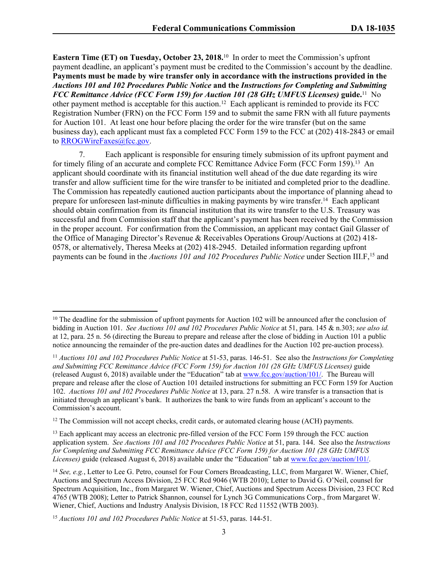**Eastern Time (ET) on Tuesday, October 23, 2018.**<sup>10</sup> In order to meet the Commission's upfront payment deadline, an applicant's payment must be credited to the Commission's account by the deadline. **Payments must be made by wire transfer only in accordance with the instructions provided in the** *Auctions 101 and 102 Procedures Public Notice* **and the** *Instructions for Completing and Submitting FCC Remittance Advice (FCC Form 159) for Auction 101 (28 GHz UMFUS Licenses)* **guide.**<sup>11</sup> No other payment method is acceptable for this auction.<sup>12</sup> Each applicant is reminded to provide its FCC Registration Number (FRN) on the FCC Form 159 and to submit the same FRN with all future payments for Auction 101. At least one hour before placing the order for the wire transfer (but on the same business day), each applicant must fax a completed FCC Form 159 to the FCC at (202) 418-2843 or email to [RROGWireFaxes@fcc.gov](mailto:RROGWireFaxes@fcc.gov).

7. Each applicant is responsible for ensuring timely submission of its upfront payment and for timely filing of an accurate and complete FCC Remittance Advice Form (FCC Form 159).<sup>13</sup> An applicant should coordinate with its financial institution well ahead of the due date regarding its wire transfer and allow sufficient time for the wire transfer to be initiated and completed prior to the deadline. The Commission has repeatedly cautioned auction participants about the importance of planning ahead to prepare for unforeseen last-minute difficulties in making payments by wire transfer.<sup>14</sup> Each applicant should obtain confirmation from its financial institution that its wire transfer to the U.S. Treasury was successful and from Commission staff that the applicant's payment has been received by the Commission in the proper account. For confirmation from the Commission, an applicant may contact Gail Glasser of the Office of Managing Director's Revenue & Receivables Operations Group/Auctions at (202) 418- 0578, or alternatively, Theresa Meeks at (202) 418-2945. Detailed information regarding upfront payments can be found in the *Auctions 101 and 102 Procedures Public Notice* under Section III.F,<sup>15</sup> and

<sup>13</sup> Each applicant may access an electronic pre-filled version of the FCC Form 159 through the FCC auction application system. *See Auctions 101 and 102 Procedures Public Notice* at 51, para. 144. See also the *Instructions for Completing and Submitting FCC Remittance Advice (FCC Form 159) for Auction 101 (28 GHz UMFUS Licenses)* guide (released August 6, 2018) available under the "Education" tab at [www.fcc.gov/auction/101/](https://www.fcc.gov/auction/101/).

 $10$  The deadline for the submission of upfront payments for Auction 102 will be announced after the conclusion of bidding in Auction 101. *See Auctions 101 and 102 Procedures Public Notice* at 51, para. 145 & n.303; *see also id.* at 12, para. 25 n. 56 (directing the Bureau to prepare and release after the close of bidding in Auction 101 a public notice announcing the remainder of the pre-auction dates and deadlines for the Auction 102 pre-auction process).

<sup>11</sup> *Auctions 101 and 102 Procedures Public Notice* at 51-53, paras. 146-51. See also the *Instructions for Completing and Submitting FCC Remittance Advice (FCC Form 159) for Auction 101 (28 GHz UMFUS Licenses)* guide (released August 6, 2018) available under the "Education" tab at [www.fcc.gov/auction/101/](https://www.fcc.gov/auction/101/). The Bureau will prepare and release after the close of Auction 101 detailed instructions for submitting an FCC Form 159 for Auction 102. *Auctions 101 and 102 Procedures Public Notice* at 13, para. 27 n.58. A wire transfer is a transaction that is initiated through an applicant's bank. It authorizes the bank to wire funds from an applicant's account to the Commission's account.

<sup>&</sup>lt;sup>12</sup> The Commission will not accept checks, credit cards, or automated clearing house (ACH) payments.

<sup>14</sup> *See, e.g.*, Letter to Lee G. Petro, counsel for Four Corners Broadcasting, LLC, from Margaret W. Wiener, Chief, Auctions and Spectrum Access Division, 25 FCC Rcd 9046 (WTB 2010); Letter to David G. O'Neil, counsel for Spectrum Acquisition, Inc., from Margaret W. Wiener, Chief, Auctions and Spectrum Access Division, 23 FCC Rcd 4765 (WTB 2008); Letter to Patrick Shannon, counsel for Lynch 3G Communications Corp., from Margaret W. Wiener, Chief, Auctions and Industry Analysis Division, 18 FCC Rcd 11552 (WTB 2003).

<sup>15</sup> *Auctions 101 and 102 Procedures Public Notice* at 51-53, paras. 144-51.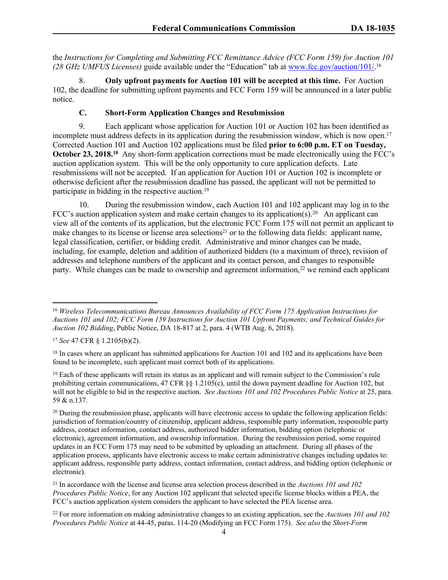the *Instructions for Completing and Submitting FCC Remittance Advice (FCC Form 159) for Auction 101 (28 GHz UMFUS Licenses)* guide available under the "Education" tab at [www.fcc.gov/auction/101/.](https://www.fcc.gov/auction/101/) 16

8. **Only upfront payments for Auction 101 will be accepted at this time.** For Auction 102, the deadline for submitting upfront payments and FCC Form 159 will be announced in a later public notice.

# **C. Short-Form Application Changes and Resubmission**

9. Each applicant whose application for Auction 101 or Auction 102 has been identified as incomplete must address defects in its application during the resubmission window, which is now open.<sup>17</sup> Corrected Auction 101 and Auction 102 applications must be filed **prior to 6:00 p.m. ET on Tuesday, October 23, 2018.<sup>18</sup>** Any short-form application corrections must be made electronically using the FCC's auction application system. This will be the only opportunity to cure application defects. Late resubmissions will not be accepted. If an application for Auction 101 or Auction 102 is incomplete or otherwise deficient after the resubmission deadline has passed, the applicant will not be permitted to participate in bidding in the respective auction.<sup>19</sup>

10. During the resubmission window, each Auction 101 and 102 applicant may log in to the FCC's auction application system and make certain changes to its application(s).<sup>20</sup> An applicant can view all of the contents of its application, but the electronic FCC Form 175 will not permit an applicant to make changes to its license or license area selections<sup>21</sup> or to the following data fields: applicant name, legal classification, certifier, or bidding credit. Administrative and minor changes can be made, including, for example, deletion and addition of authorized bidders (to a maximum of three), revision of addresses and telephone numbers of the applicant and its contact person, and changes to responsible party. While changes can be made to ownership and agreement information,<sup>22</sup> we remind each applicant

<sup>19</sup> Each of these applicants will retain its status as an applicant and will remain subject to the Commission's rule prohibiting certain communications, 47 CFR §§ 1.2105(c), until the down payment deadline for Auction 102, but will not be eligible to bid in the respective auction. *See Auctions 101 and 102 Procedures Public Notice* at 25, para. 59 & n.137.

 $^{20}$  During the resubmission phase, applicants will have electronic access to update the following application fields: jurisdiction of formation/country of citizenship, applicant address, responsible party information, responsible party address, contact information, contact address, authorized bidder information, bidding option (telephonic or electronic), agreement information, and ownership information. During the resubmission period, some required updates in an FCC Form 175 may need to be submitted by uploading an attachment. During all phases of the application process, applicants have electronic access to make certain administrative changes including updates to: applicant address, responsible party address, contact information, contact address, and bidding option (telephonic or electronic).

<sup>21</sup> In accordance with the license and license area selection process described in the *Auctions 101 and 102 Procedures Public Notice*, for any Auction 102 applicant that selected specific license blocks within a PEA, the FCC's auction application system considers the applicant to have selected the PEA license area.

<sup>22</sup> For more information on making administrative changes to an existing application, see the *Auctions 101 and 102 Procedures Public Notice* at 44-45, paras. 114-20 (Modifying an FCC Form 175). *See also* the *Short-Form*

<sup>16</sup> *Wireless Telecommunications Bureau Announces Availability of FCC Form 175 Application Instructions for* Auctions 101 and 102; FCC Form 159 Instructions for Auction 101 Upfront Payments; and Technical Guides for *Auction 102 Bidding*, Public Notice, DA 18-817 at 2, para. 4 (WTB Aug. 6, 2018).

<sup>17</sup> *See* 47 CFR § 1.2105(b)(2).

<sup>&</sup>lt;sup>18</sup> In cases where an applicant has submitted applications for Auction 101 and 102 and its applications have been found to be incomplete, such applicant must correct both of its applications.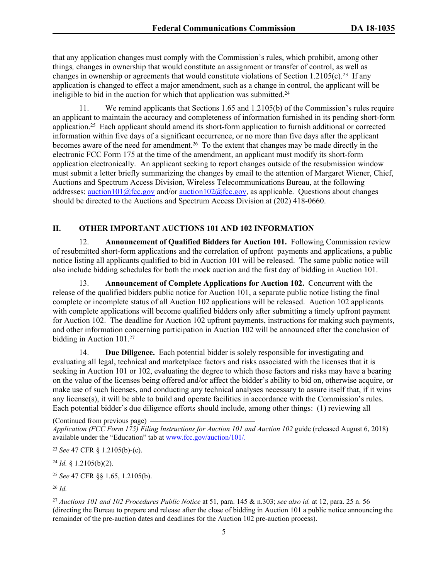that any application changes must comply with the Commission's rules, which prohibit, among other things*,* changes in ownership that would constitute an assignment or transfer of control, as well as changes in ownership or agreements that would constitute violations of Section 1.2105 $(c)$ .<sup>23</sup> If any application is changed to effect a major amendment, such as a change in control, the applicant will be ineligible to bid in the auction for which that application was submitted.<sup>24</sup>

11. We remind applicants that Sections 1.65 and 1.2105(b) of the Commission's rules require an applicant to maintain the accuracy and completeness of information furnished in its pending short-form application.<sup>25</sup> Each applicant should amend its short-form application to furnish additional or corrected information within five days of a significant occurrence, or no more than five days after the applicant becomes aware of the need for amendment.<sup>26</sup> To the extent that changes may be made directly in the electronic FCC Form 175 at the time of the amendment, an applicant must modify its short-form application electronically. An applicant seeking to report changes outside of the resubmission window must submit a letter briefly summarizing the changes by email to the attention of Margaret Wiener, Chief, Auctions and Spectrum Access Division, Wireless Telecommunications Bureau, at the following addresses: [auction101@fcc.gov](mailto:auction101@fcc.gov) and/or [auction102@fcc.gov,](mailto:auction102@fcc.gov) as applicable. Questions about changes should be directed to the Auctions and Spectrum Access Division at (202) 418-0660.

# **II. OTHER IMPORTANT AUCTIONS 101 AND 102 INFORMATION**

12. **Announcement of Qualified Bidders for Auction 101.** Following Commission review of resubmitted short-form applications and the correlation of upfront payments and applications, a public notice listing all applicants qualified to bid in Auction 101 will be released. The same public notice will also include bidding schedules for both the mock auction and the first day of bidding in Auction 101.

13. **Announcement of Complete Applications for Auction 102.** Concurrent with the release of the qualified bidders public notice for Auction 101, a separate public notice listing the final complete or incomplete status of all Auction 102 applications will be released. Auction 102 applicants with complete applications will become qualified bidders only after submitting a timely upfront payment for Auction 102. The deadline for Auction 102 upfront payments, instructions for making such payments, and other information concerning participation in Auction 102 will be announced after the conclusion of bidding in Auction 101.<sup>27</sup>

14. **Due Diligence.** Each potential bidder is solely responsible for investigating and evaluating all legal, technical and marketplace factors and risks associated with the licenses that it is seeking in Auction 101 or 102, evaluating the degree to which those factors and risks may have a bearing on the value of the licenses being offered and/or affect the bidder's ability to bid on, otherwise acquire, or make use of such licenses, and conducting any technical analyses necessary to assure itself that, if it wins any license(s), it will be able to build and operate facilities in accordance with the Commission's rules. Each potential bidder's due diligence efforts should include, among other things: (1) reviewing all

<sup>25</sup> *See* 47 CFR §§ 1.65, 1.2105(b).

<sup>26</sup> *Id.*

<sup>27</sup> *Auctions 101 and 102 Procedures Public Notice* at 51, para. 145 & n.303; *see also id.* at 12, para. 25 n. 56 (directing the Bureau to prepare and release after the close of bidding in Auction 101 a public notice announcing the remainder of the pre-auction dates and deadlines for the Auction 102 pre-auction process).

<sup>(</sup>Continued from previous page)

*Application (FCC Form 175) Filing Instructions for Auction 101 and Auction 102* guide (released August 6, 2018) available under the "Education" tab at [www.fcc.gov/auction/101/.](https://www.fcc.gov/auction/101/)

<sup>23</sup> *See* 47 CFR § 1.2105(b)-(c).

<sup>24</sup> *Id.* § 1.2105(b)(2).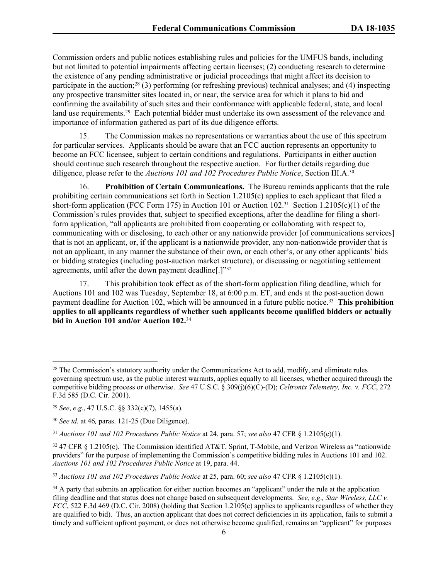Commission orders and public notices establishing rules and policies for the UMFUS bands, including but not limited to potential impairments affecting certain licenses; (2) conducting research to determine the existence of any pending administrative or judicial proceedings that might affect its decision to participate in the auction;<sup>28</sup> (3) performing (or refreshing previous) technical analyses; and (4) inspecting any prospective transmitter sites located in, or near, the service area for which it plans to bid and confirming the availability of such sites and their conformance with applicable federal, state, and local land use requirements.<sup>29</sup> Each potential bidder must undertake its own assessment of the relevance and importance of information gathered as part of its due diligence efforts.

15. The Commission makes no representations or warranties about the use of this spectrum for particular services. Applicants should be aware that an FCC auction represents an opportunity to become an FCC licensee, subject to certain conditions and regulations. Participants in either auction should continue such research throughout the respective auction. For further details regarding due diligence, please refer to the *Auctions 101 and 102 Procedures Public Notice*, Section III.A.<sup>30</sup>

16. **Prohibition of Certain Communications.** The Bureau reminds applicants that the rule prohibiting certain communications set forth in Section 1.2105(c) applies to each applicant that filed a short-form application (FCC Form 175) in Auction 101 or Auction 102.<sup>31</sup> Section 1.2105(c)(1) of the Commission's rules provides that, subject to specified exceptions, after the deadline for filing a shortform application, "all applicants are prohibited from cooperating or collaborating with respect to, communicating with or disclosing, to each other or any nationwide provider [of communications services] that is not an applicant, or, if the applicant is a nationwide provider, any non-nationwide provider that is not an applicant, in any manner the substance of their own, or each other's, or any other applicants' bids or bidding strategies (including post-auction market structure), or discussing or negotiating settlement agreements, until after the down payment deadline[.]"<sup>32</sup>

17. This prohibition took effect as of the short-form application filing deadline, which for Auctions 101 and 102 was Tuesday, September 18, at 6:00 p.m. ET, and ends at the post-auction down payment deadline for Auction 102, which will be announced in a future public notice.<sup>33</sup> This prohibition **applies to all applicants regardless of whether such applicants become qualified bidders or actually bid in Auction 101 and/or Auction 102.**<sup>34</sup>

<sup>&</sup>lt;sup>28</sup> The Commission's statutory authority under the Communications Act to add, modify, and eliminate rules governing spectrum use, as the public interest warrants, applies equally to all licenses, whether acquired through the competitive bidding process or otherwise. *See* 47 U.S.C. § 309(j)(6)(C)-(D); *Celtronix Telemetry, Inc. v. FCC*, 272 F.3d 585 (D.C. Cir. 2001).

<sup>29</sup> *See*, *e*.*g*., 47 U.S.C. §§ 332(c)(7), 1455(a).

<sup>30</sup> *See id.* at 46*,* paras. 121-25 (Due Diligence).

<sup>31</sup> *Auctions 101 and 102 Procedures Public Notice* at 24, para. 57; *see also* 47 CFR § 1.2105(c)(1).

<sup>32</sup> 47 CFR § 1.2105(c). The Commission identified AT&T, Sprint, T-Mobile, and Verizon Wireless as "nationwide providers" for the purpose of implementing the Commission's competitive bidding rules in Auctions 101 and 102. *Auctions 101 and 102 Procedures Public Notice* at 19, para. 44.

<sup>33</sup> *Auctions 101 and 102 Procedures Public Notice* at 25, para. 60; *see also* 47 CFR § 1.2105(c)(1).

<sup>&</sup>lt;sup>34</sup> A party that submits an application for either auction becomes an "applicant" under the rule at the application filing deadline and that status does not change based on subsequent developments. *See, e.g*.*, Star Wireless, LLC v. FCC*, 522 F.3d 469 (D.C. Cir. 2008) (holding that Section 1.2105(c) applies to applicants regardless of whether they are qualified to bid). Thus, an auction applicant that does not correct deficiencies in its application, fails to submit a timely and sufficient upfront payment, or does not otherwise become qualified, remains an "applicant" for purposes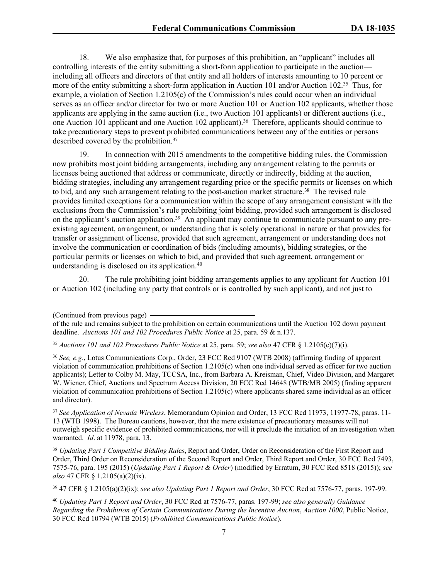18. We also emphasize that, for purposes of this prohibition, an "applicant" includes all controlling interests of the entity submitting a short-form application to participate in the auction including all officers and directors of that entity and all holders of interests amounting to 10 percent or more of the entity submitting a short-form application in Auction 101 and/or Auction 102.<sup>35</sup> Thus, for example, a violation of Section 1.2105(c) of the Commission's rules could occur when an individual serves as an officer and/or director for two or more Auction 101 or Auction 102 applicants, whether those applicants are applying in the same auction (i.e., two Auction 101 applicants) or different auctions (i.e., one Auction 101 applicant and one Auction 102 applicant).<sup>36</sup> Therefore, applicants should continue to take precautionary steps to prevent prohibited communications between any of the entities or persons described covered by the prohibition.<sup>37</sup>

19. In connection with 2015 amendments to the competitive bidding rules, the Commission now prohibits most joint bidding arrangements, including any arrangement relating to the permits or licenses being auctioned that address or communicate, directly or indirectly, bidding at the auction, bidding strategies, including any arrangement regarding price or the specific permits or licenses on which to bid, and any such arrangement relating to the post-auction market structure.<sup>38</sup> The revised rule provides limited exceptions for a communication within the scope of any arrangement consistent with the exclusions from the Commission's rule prohibiting joint bidding, provided such arrangement is disclosed on the applicant's auction application.<sup>39</sup> An applicant may continue to communicate pursuant to any preexisting agreement, arrangement, or understanding that is solely operational in nature or that provides for transfer or assignment of license, provided that such agreement, arrangement or understanding does not involve the communication or coordination of bids (including amounts), bidding strategies, or the particular permits or licenses on which to bid, and provided that such agreement, arrangement or understanding is disclosed on its application.<sup>40</sup>

20. The rule prohibiting joint bidding arrangements applies to any applicant for Auction 101 or Auction 102 (including any party that controls or is controlled by such applicant), and not just to

<sup>39</sup> 47 CFR § 1.2105(a)(2)(ix); *see also Updating Part 1 Report and Order*, 30 FCC Rcd at 7576-77, paras. 197-99.

<sup>40</sup> *Updating Part 1 Report and Order*, 30 FCC Rcd at 7576-77, paras. 197-99; *see also generally Guidance Regarding the Prohibition of Certain Communications During the Incentive Auction*, *Auction 1000*, Public Notice, 30 FCC Rcd 10794 (WTB 2015) (*Prohibited Communications Public Notice*).

<sup>(</sup>Continued from previous page)

of the rule and remains subject to the prohibition on certain communications until the Auction 102 down payment deadline. *Auctions 101 and 102 Procedures Public Notice* at 25, para. 59 & n.137.

<sup>35</sup> *Auctions 101 and 102 Procedures Public Notice* at 25, para. 59; *see also* 47 CFR § 1.2105(c)(7)(i).

<sup>36</sup> *See, e.g.*, Lotus Communications Corp., Order, 23 FCC Rcd 9107 (WTB 2008) (affirming finding of apparent violation of communication prohibitions of Section 1.2105(c) when one individual served as officer for two auction applicants); Letter to Colby M. May, TCCSA, Inc., from Barbara A. Kreisman, Chief, Video Division, and Margaret W. Wiener, Chief, Auctions and Spectrum Access Division, 20 FCC Rcd 14648 (WTB/MB 2005) (finding apparent violation of communication prohibitions of Section 1.2105(c) where applicants shared same individual as an officer and director).

<sup>37</sup> *See Application of Nevada Wireless*, Memorandum Opinion and Order, 13 FCC Rcd 11973, 11977-78, paras. 11- 13 (WTB 1998). The Bureau cautions, however, that the mere existence of precautionary measures will not outweigh specific evidence of prohibited communications, nor will it preclude the initiation of an investigation when warranted. *Id*. at 11978, para. 13.

<sup>38</sup> *Updating Part 1 Competitive Bidding Rules*, Report and Order, Order on Reconsideration of the First Report and Order, Third Order on Reconsideration of the Second Report and Order, Third Report and Order, 30 FCC Rcd 7493, 7575-76, para. 195 (2015) (*Updating Part 1 Report & Order*) (modified by Erratum, 30 FCC Rcd 8518 (2015)); *see also* 47 CFR § 1.2105(a)(2)(ix).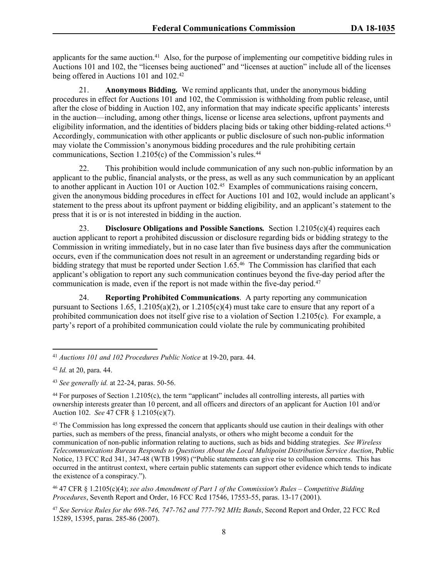applicants for the same auction.<sup>41</sup> Also, for the purpose of implementing our competitive bidding rules in Auctions 101 and 102, the "licenses being auctioned" and "licenses at auction" include all of the licenses being offered in Auctions 101 and 102.<sup>42</sup>

21. **Anonymous Bidding***.* We remind applicants that, under the anonymous bidding procedures in effect for Auctions 101 and 102, the Commission is withholding from public release, until after the close of bidding in Auction 102, any information that may indicate specific applicants' interests in the auction—including, among other things, license or license area selections, upfront payments and eligibility information, and the identities of bidders placing bids or taking other bidding-related actions.<sup>43</sup> Accordingly, communication with other applicants or public disclosure of such non-public information may violate the Commission's anonymous bidding procedures and the rule prohibiting certain communications, Section 1.2105(c) of the Commission's rules.<sup>44</sup>

22. This prohibition would include communication of any such non-public information by an applicant to the public, financial analysts, or the press, as well as any such communication by an applicant to another applicant in Auction 101 or Auction 102.<sup>45</sup> Examples of communications raising concern, given the anonymous bidding procedures in effect for Auctions 101 and 102, would include an applicant's statement to the press about its upfront payment or bidding eligibility, and an applicant's statement to the press that it is or is not interested in bidding in the auction.

23. **Disclosure Obligations and Possible Sanctions***.* Section 1.2105(c)(4) requires each auction applicant to report a prohibited discussion or disclosure regarding bids or bidding strategy to the Commission in writing immediately, but in no case later than five business days after the communication occurs, even if the communication does not result in an agreement or understanding regarding bids or bidding strategy that must be reported under Section 1.65.<sup>46</sup> The Commission has clarified that each applicant's obligation to report any such communication continues beyond the five-day period after the communication is made, even if the report is not made within the five-day period.<sup>47</sup>

24. **Reporting Prohibited Communications**. A party reporting any communication pursuant to Sections 1.65, 1.2105(a)(2), or 1.2105(c)(4) must take care to ensure that any report of a prohibited communication does not itself give rise to a violation of Section 1.2105(c). For example, a party's report of a prohibited communication could violate the rule by communicating prohibited

<sup>41</sup> *Auctions 101 and 102 Procedures Public Notice* at 19-20, para. 44.

<sup>42</sup> *Id.* at 20, para. 44.

<sup>43</sup> *See generally id.* at 22-24, paras. 50-56.

 $44$  For purposes of Section 1.2105(c), the term "applicant" includes all controlling interests, all parties with ownership interests greater than 10 percent, and all officers and directors of an applicant for Auction 101 and/or Auction 102. *See* 47 CFR § 1.2105(c)(7).

<sup>&</sup>lt;sup>45</sup> The Commission has long expressed the concern that applicants should use caution in their dealings with other parties, such as members of the press, financial analysts, or others who might become a conduit for the communication of non-public information relating to auctions, such as bids and bidding strategies. *See Wireless Telecommunications Bureau Responds to Questions About the Local Multipoint Distribution Service Auction*, Public Notice, 13 FCC Rcd 341, 347-48 (WTB 1998) ("Public statements can give rise to collusion concerns. This has occurred in the antitrust context, where certain public statements can support other evidence which tends to indicate the existence of a conspiracy.").

<sup>46</sup> 47 CFR § 1.2105(c)(4); *see also Amendment of Part 1 of the Commission's Rules – Competitive Bidding Procedures*, Seventh Report and Order, 16 FCC Rcd 17546, 17553-55, paras. 13-17 (2001).

<sup>47</sup> *See Service Rules for the 698-746, 747-762 and 777-792 MHz Bands*, Second Report and Order, 22 FCC Rcd 15289, 15395, paras. 285-86 (2007).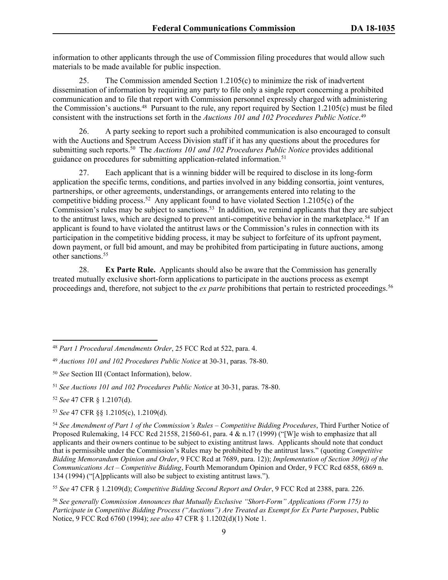information to other applicants through the use of Commission filing procedures that would allow such materials to be made available for public inspection.

25. The Commission amended Section 1.2105(c) to minimize the risk of inadvertent dissemination of information by requiring any party to file only a single report concerning a prohibited communication and to file that report with Commission personnel expressly charged with administering the Commission's auctions.<sup>48</sup> Pursuant to the rule, any report required by Section 1.2105(c) must be filed consistent with the instructions set forth in the *Auctions 101 and 102 Procedures Public Notice*. 49

26. A party seeking to report such a prohibited communication is also encouraged to consult with the Auctions and Spectrum Access Division staff if it has any questions about the procedures for submitting such reports.<sup>50</sup> The *Auctions 101 and 102 Procedures Public Notice* provides additional guidance on procedures for submitting application-related information.<sup>51</sup>

27. Each applicant that is a winning bidder will be required to disclose in its long-form application the specific terms, conditions, and parties involved in any bidding consortia, joint ventures, partnerships, or other agreements, understandings, or arrangements entered into relating to the competitive bidding process.<sup>52</sup> Any applicant found to have violated Section 1.2105(c) of the Commission's rules may be subject to sanctions.<sup>53</sup> In addition, we remind applicants that they are subject to the antitrust laws, which are designed to prevent anti-competitive behavior in the marketplace.<sup>54</sup> If an applicant is found to have violated the antitrust laws or the Commission's rules in connection with its participation in the competitive bidding process, it may be subject to forfeiture of its upfront payment, down payment, or full bid amount, and may be prohibited from participating in future auctions, among other sanctions.<sup>55</sup>

28. **Ex Parte Rule.** Applicants should also be aware that the Commission has generally treated mutually exclusive short-form applications to participate in the auctions process as exempt proceedings and, therefore, not subject to the *ex parte* prohibitions that pertain to restricted proceedings.<sup>56</sup>

<sup>55</sup> *See* 47 CFR § 1.2109(d); *Competitive Bidding Second Report and Order*, 9 FCC Rcd at 2388, para. 226.

<sup>48</sup> *Part 1 Procedural Amendments Order*, 25 FCC Rcd at 522, para. 4.

<sup>49</sup> *Auctions 101 and 102 Procedures Public Notice* at 30-31, paras. 78-80.

<sup>50</sup> *See* Section III (Contact Information), below.

<sup>51</sup> *See Auctions 101 and 102 Procedures Public Notice* at 30-31, paras. 78-80.

<sup>52</sup> *See* 47 CFR § 1.2107(d).

<sup>53</sup> *See* 47 CFR §§ 1.2105(c), 1.2109(d).

<sup>54</sup> *See Amendment of Part 1 of the Commission's Rules – Competitive Bidding Procedures*, Third Further Notice of Proposed Rulemaking, 14 FCC Rcd 21558, 21560-61, para. 4 & n.17 (1999) ("[W]e wish to emphasize that all applicants and their owners continue to be subject to existing antitrust laws. Applicants should note that conduct that is permissible under the Commission's Rules may be prohibited by the antitrust laws." (quoting *Competitive Bidding Memorandum Opinion and Order*, 9 FCC Rcd at 7689, para. 12)); *Implementation of Section 309(j) of the Communications Act – Competitive Bidding*, Fourth Memorandum Opinion and Order, 9 FCC Rcd 6858, 6869 n. 134 (1994) ("[A]pplicants will also be subject to existing antitrust laws.").

<sup>56</sup> *See generally Commission Announces that Mutually Exclusive "Short-Form" Applications (Form 175) to Participate in Competitive Bidding Process ("Auctions") Are Treated as Exempt for Ex Parte Purposes*, Public Notice, 9 FCC Rcd 6760 (1994); *see also* 47 CFR § 1.1202(d)(1) Note 1.